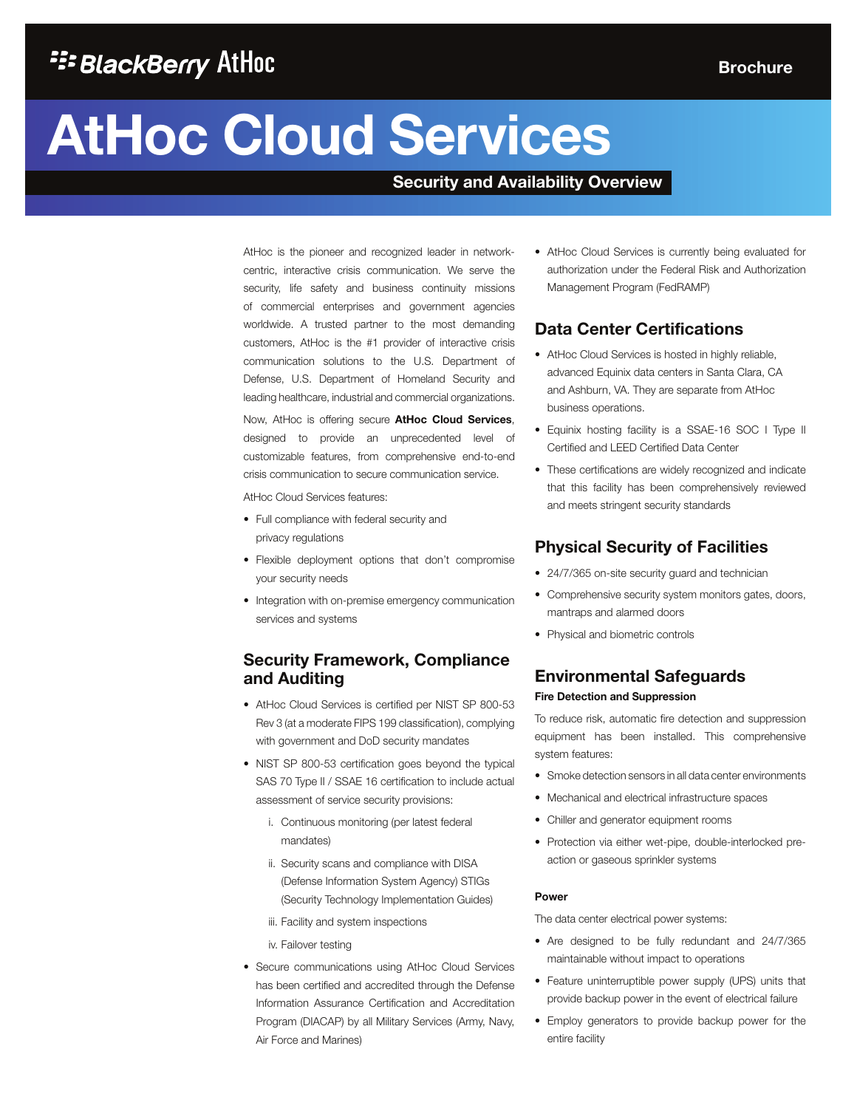# **AtHoc Cloud Services**

## **Security and Availability Overview**

AtHoc is the pioneer and recognized leader in networkcentric, interactive crisis communication. We serve the security, life safety and business continuity missions of commercial enterprises and government agencies worldwide. A trusted partner to the most demanding customers, AtHoc is the #1 provider of interactive crisis communication solutions to the U.S. Department of Defense, U.S. Department of Homeland Security and leading healthcare, industrial and commercial organizations.

Now, AtHoc is offering secure **AtHoc Cloud Services**, designed to provide an unprecedented level of customizable features, from comprehensive end-to-end crisis communication to secure communication service.

AtHoc Cloud Services features:

- Full compliance with federal security and privacy regulations
- Flexible deployment options that don't compromise your security needs
- Integration with on-premise emergency communication services and systems

## **Security Framework, Compliance and Auditing**

- AtHoc Cloud Services is certified per NIST SP 800-53 Rev 3 (at a moderate FIPS 199 classification), complying with government and DoD security mandates
- NIST SP 800-53 certification goes beyond the typical SAS 70 Type II / SSAE 16 certification to include actual assessment of service security provisions:
	- i. Continuous monitoring (per latest federal mandates)
	- ii. Security scans and compliance with DISA (Defense Information System Agency) STIGs (Security Technology Implementation Guides)
	- iii. Facility and system inspections
	- iv. Failover testing
- Secure communications using AtHoc Cloud Services has been certified and accredited through the Defense Information Assurance Certification and Accreditation Program (DIACAP) by all Military Services (Army, Navy, Air Force and Marines)

• AtHoc Cloud Services is currently being evaluated for authorization under the Federal Risk and Authorization Management Program (FedRAMP)

## **Data Center Certifications**

- AtHoc Cloud Services is hosted in highly reliable, advanced Equinix data centers in Santa Clara, CA and Ashburn, VA. They are separate from AtHoc business operations.
- Equinix hosting facility is a SSAE-16 SOC I Type II Certified and LEED Certified Data Center
- These certifications are widely recognized and indicate that this facility has been comprehensively reviewed and meets stringent security standards

## **Physical Security of Facilities**

- 24/7/365 on-site security guard and technician
- Comprehensive security system monitors gates, doors, mantraps and alarmed doors
- Physical and biometric controls

## **Environmental Safeguards**

#### **Fire Detection and Suppression**

To reduce risk, automatic fire detection and suppression equipment has been installed. This comprehensive system features:

- Smoke detection sensors in all data center environments
- Mechanical and electrical infrastructure spaces
- Chiller and generator equipment rooms
- Protection via either wet-pipe, double-interlocked preaction or gaseous sprinkler systems

#### **Power**

The data center electrical power systems:

- Are designed to be fully redundant and 24/7/365 maintainable without impact to operations
- Feature uninterruptible power supply (UPS) units that provide backup power in the event of electrical failure
- Employ generators to provide backup power for the entire facility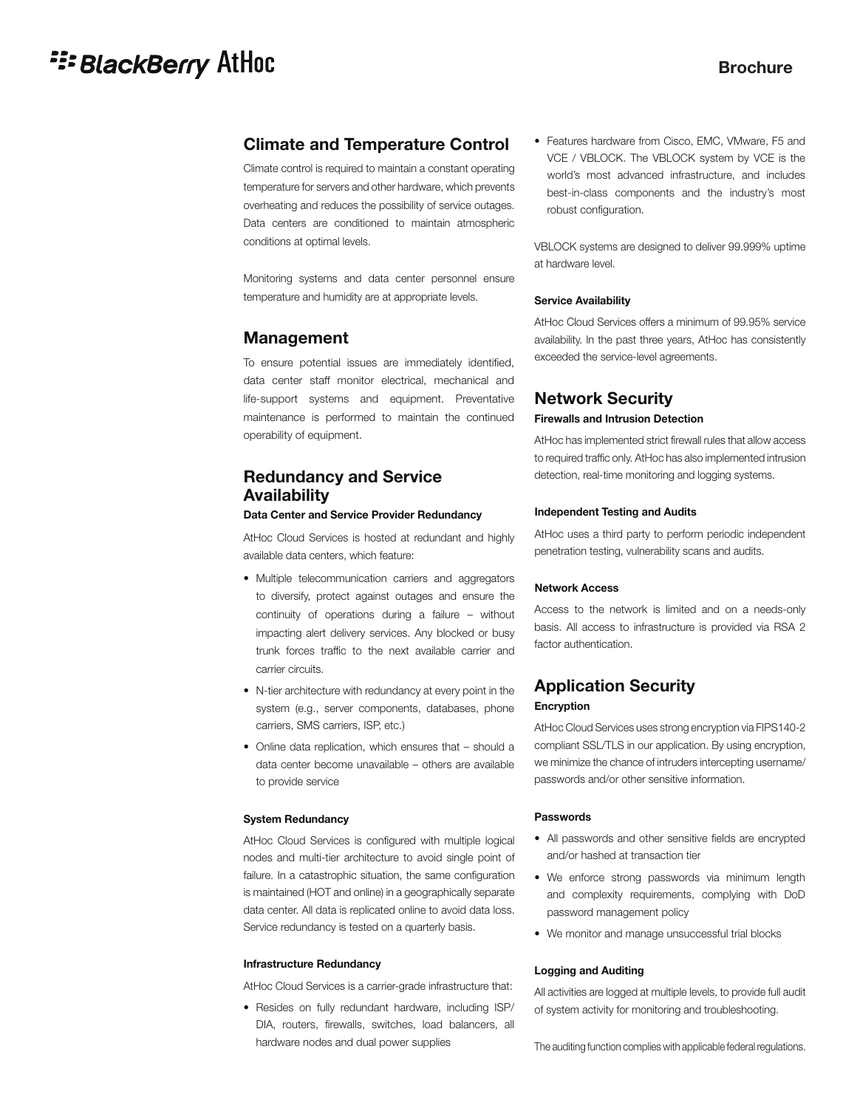# **E: BlackBerry AtHoc**

## **Brochure**

## **Climate and Temperature Control**

Climate control is required to maintain a constant operating temperature for servers and other hardware, which prevents overheating and reduces the possibility of service outages. Data centers are conditioned to maintain atmospheric conditions at optimal levels.

Monitoring systems and data center personnel ensure temperature and humidity are at appropriate levels.

## **Management**

To ensure potential issues are immediately identified, data center staff monitor electrical, mechanical and life-support systems and equipment. Preventative maintenance is performed to maintain the continued operability of equipment.

## **Redundancy and Service Availability**

## **Data Center and Service Provider Redundancy**

AtHoc Cloud Services is hosted at redundant and highly available data centers, which feature:

- Multiple telecommunication carriers and aggregators to diversify, protect against outages and ensure the continuity of operations during a failure – without impacting alert delivery services. Any blocked or busy trunk forces traffic to the next available carrier and carrier circuits.
- N-tier architecture with redundancy at every point in the system (e.g., server components, databases, phone carriers, SMS carriers, ISP, etc.)
- Online data replication, which ensures that should a data center become unavailable – others are available to provide service

#### **System Redundancy**

AtHoc Cloud Services is configured with multiple logical nodes and multi-tier architecture to avoid single point of failure. In a catastrophic situation, the same configuration is maintained (HOT and online) in a geographically separate data center. All data is replicated online to avoid data loss. Service redundancy is tested on a quarterly basis.

#### **Infrastructure Redundancy**

AtHoc Cloud Services is a carrier-grade infrastructure that:

• Resides on fully redundant hardware, including ISP/ DIA, routers, firewalls, switches, load balancers, all hardware nodes and dual power supplies

• Features hardware from Cisco, EMC, VMware, F5 and VCE / VBLOCK. The VBLOCK system by VCE is the world's most advanced infrastructure, and includes best-in-class components and the industry's most robust configuration.

VBLOCK systems are designed to deliver 99.999% uptime at hardware level.

### **Service Availability**

AtHoc Cloud Services offers a minimum of 99.95% service availability. In the past three years, AtHoc has consistently exceeded the service-level agreements.

## **Network Security Firewalls and Intrusion Detection**

AtHoc has implemented strict firewall rules that allow access to required traffic only. AtHoc has also implemented intrusion detection, real-time monitoring and logging systems.

#### **Independent Testing and Audits**

AtHoc uses a third party to perform periodic independent penetration testing, vulnerability scans and audits.

#### **Network Access**

Access to the network is limited and on a needs-only basis. All access to infrastructure is provided via RSA 2 factor authentication.

## **Application Security Encryption**

AtHoc Cloud Services uses strong encryption via FIPS140-2 compliant SSL/TLS in our application. By using encryption, we minimize the chance of intruders intercepting username/ passwords and/or other sensitive information.

#### **Passwords**

- All passwords and other sensitive fields are encrypted and/or hashed at transaction tier
- We enforce strong passwords via minimum length and complexity requirements, complying with DoD password management policy
- We monitor and manage unsuccessful trial blocks

#### **Logging and Auditing**

All activities are logged at multiple levels, to provide full audit of system activity for monitoring and troubleshooting.

The auditing function complies with applicable federal regulations.